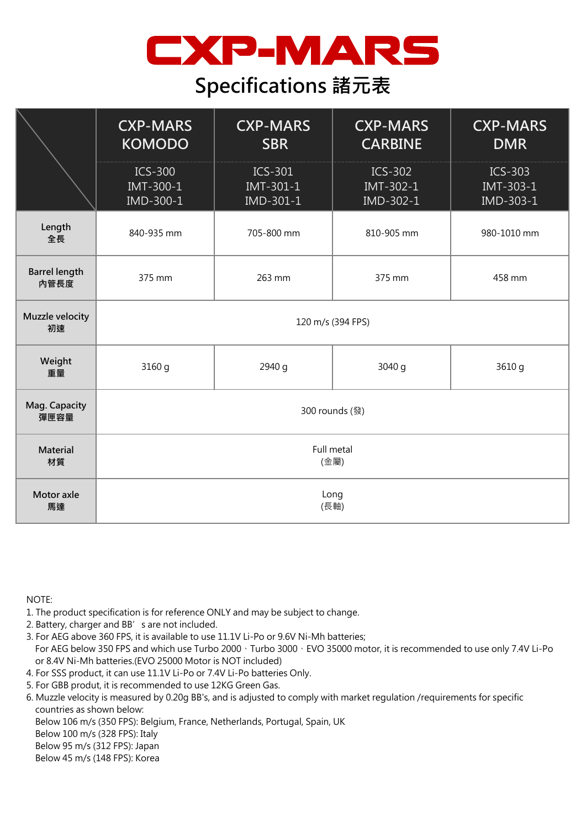

## **Specifications 諸元表**

|                              | <b>CXP-MARS</b><br><b>KOMODO</b>         | <b>CXP-MARS</b><br><b>SBR</b>            | <b>CXP-MARS</b><br><b>CARBINE</b>          | <b>CXP-MARS</b><br><b>DMR</b>       |
|------------------------------|------------------------------------------|------------------------------------------|--------------------------------------------|-------------------------------------|
|                              | <b>ICS-300</b><br>IMT-300-1<br>IMD-300-1 | <b>ICS-301</b><br>IMT-301-1<br>IMD-301-1 | <b>ICS-302</b><br>IMT-302-1<br>$IMD-302-1$ | $ICS-303$<br>IMT-303-1<br>IMD-303-1 |
| Length<br>全長                 | 840-935 mm                               | 705-800 mm                               | 810-905 mm                                 | 980-1010 mm                         |
| <b>Barrel length</b><br>內管長度 | 375 mm                                   | 263 mm                                   | 375 mm                                     | 458 mm                              |
| Muzzle velocity<br>初速        | 120 m/s (394 FPS)                        |                                          |                                            |                                     |
| Weight<br>重量                 | 3160 g                                   | 2940 g                                   | 3040 g                                     | 3610 g                              |
| Mag. Capacity<br>彈匣容量        | 300 rounds (發)                           |                                          |                                            |                                     |
| Material<br>材質               | Full metal<br>(金屬)                       |                                          |                                            |                                     |
| Motor axle<br>馬達             | Long<br>(長軸)                             |                                          |                                            |                                     |

NOTE:

1. The product specification is for reference ONLY and may be subject to change.

- 2. Battery, charger and BB's are not included.
- 3. For AEG above 360 FPS, it is available to use 11.1V Li-Po or 9.6V Ni-Mh batteries; For AEG below 350 FPS and which use Turbo 2000、Turbo 3000、EVO 35000 motor, it is recommended to use only 7.4V Li-Po
- or 8.4V Ni-Mh batteries.(EVO 25000 Motor is NOT included) 4. For SSS product, it can use 11.1V Li-Po or 7.4V Li-Po batteries Only.
- 5. For GBB produt, it is recommended to use 12KG Green Gas.
- 6. Muzzle velocity is measured by 0.20g BB's, and is adjusted to comply with market regulation /requirements for specific countries as shown below:
- Below 106 m/s (350 FPS): Belgium, France, Netherlands, Portugal, Spain, UK
- Below 100 m/s (328 FPS): Italy

Below 95 m/s (312 FPS): Japan

Below 45 m/s (148 FPS): Korea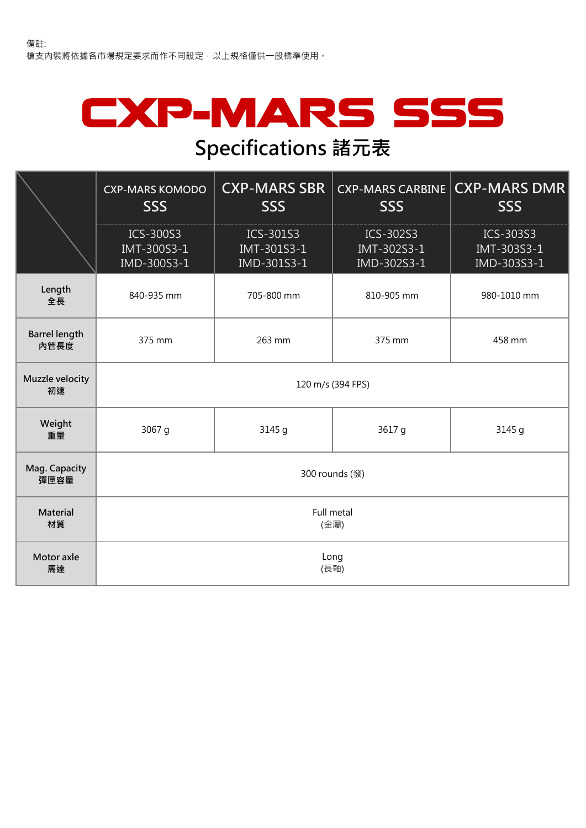## CXP-MARS SSS **Specifications 諸元表**

## **CXP-MARS KOMODO SSS CXP-MARS SBR SSS CXP-MARS CARBINE SSS CXP-MARS DMR SSS** ICS-300S3 IMT-300S3-1 IMD-300S3-1 ICS-301S3 IMT-301S3-1 IMD-301S3-1 ICS-302S3 IMT-302S3-1 IMD-302S3-1 ICS-303S3 IMT-303S3-1 IMD-303S3-1 **Length** enger 840-935 mm 705-800 mm 810-905 mm 980-1010 mm<br>全長 **Barrel length 內管長度** 375 mm 263 mm 375 mm 458 mm **Muzzle velocity 初速 Weight 一直量 3067 g 3145 g 3617 g 3145 g Mag. Capacity 彈匣容量 Material 材質 Motor axle 馬達** 120 m/s (394 FPS) Full metal (金屬) Long (長軸) 300 rounds (發)